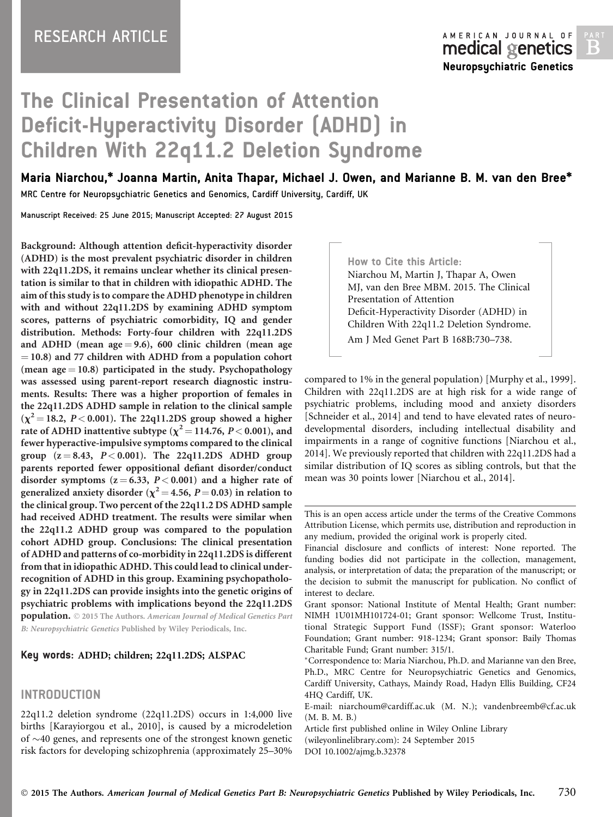# The Clinical Presentation of Attention Deficit-Hyperactivity Disorder (ADHD) in Children With 22q11.2 Deletion Syndrome

## Maria Niarchou,\* Joanna Martin, Anita Thapar, Michael J. Owen, and Marianne B. M. van den Bree\*

MRC Centre for Neuropsychiatric Genetics and Genomics, Cardiff University, Cardiff, UK

Manuscript Received: 25 June 2015; Manuscript Accepted: 27 August 2015

Background: Although attention deficit-hyperactivity disorder (ADHD) is the most prevalent psychiatric disorder in children with 22q11.2DS, it remains unclear whether its clinical presentation is similar to that in children with idiopathic ADHD. The aim of this study is to compare the ADHD phenotype in children with and without 22q11.2DS by examining ADHD symptom scores, patterns of psychiatric comorbidity, IQ and gender distribution. Methods: Forty-four children with 22q11.2DS and ADHD (mean age  $= 9.6$ ), 600 clinic children (mean age  $=$  10.8) and 77 children with ADHD from a population cohort (mean  $age = 10.8$ ) participated in the study. Psychopathology was assessed using parent-report research diagnostic instruments. Results: There was a higher proportion of females in the 22q11.2DS ADHD sample in relation to the clinical sample  $(\chi^2 = 18.2, P < 0.001)$ . The 22q11.2DS group showed a higher rate of ADHD inattentive subtype ( $\chi^2$  = 114.76, P < 0.001), and fewer hyperactive-impulsive symptoms compared to the clinical group  $(z = 8.43, P < 0.001)$ . The 22q11.2DS ADHD group parents reported fewer oppositional defiant disorder/conduct disorder symptoms  $(z = 6.33, P < 0.001)$  and a higher rate of generalized anxiety disorder ( $\chi^2$  = 4.56, P = 0.03) in relation to the clinical group. Two percent of the 22q11.2 DS ADHD sample had received ADHD treatment. The results were similar when the 22q11.2 ADHD group was compared to the population cohort ADHD group. Conclusions: The clinical presentation of ADHD and patterns of co-morbidity in 22q11.2DS is different from that in idiopathic ADHD. This could lead to clinical underrecognition of ADHD in this group. Examining psychopathology in 22q11.2DS can provide insights into the genetic origins of psychiatric problems with implications beyond the 22q11.2DS population.  $\odot$  2015 The Authors. American Journal of Medical Genetics Part B: Neuropsychiatric Genetics Published by Wiley Periodicals, Inc.

#### Key words: ADHD; children; 22q11.2DS; ALSPAC

## INTRODUCTION

22q11.2 deletion syndrome (22q11.2DS) occurs in 1:4,000 live births [Karayiorgou et al., 2010], is caused by a microdeletion of  $\sim$ 40 genes, and represents one of the strongest known genetic risk factors for developing schizophrenia (approximately 25–30%

How to Cite this Article: Niarchou M, Martin J, Thapar A, Owen MJ, van den Bree MBM. 2015. The Clinical Presentation of Attention Deficit-Hyperactivity Disorder (ADHD) in Children With 22q11.2 Deletion Syndrome. Am J Med Genet Part B 168B:730–738.

compared to 1% in the general population) [Murphy et al., 1999]. Children with 22q11.2DS are at high risk for a wide range of psychiatric problems, including mood and anxiety disorders [Schneider et al., 2014] and tend to have elevated rates of neurodevelopmental disorders, including intellectual disability and impairments in a range of cognitive functions [Niarchou et al., 2014]. We previously reported that children with 22q11.2DS had a similar distribution of IQ scores as sibling controls, but that the mean was 30 points lower [Niarchou et al., 2014].

This is an open access article under the terms of the [Creative Commons](http://creativecommons.org/licenses/by/4.0/) [Attribution](http://creativecommons.org/licenses/by/4.0/) License, which permits use, distribution and reproduction in any medium, provided the original work is properly cited.

Financial disclosure and conflicts of interest: None reported. The funding bodies did not participate in the collection, management, analysis, or interpretation of data; the preparation of the manuscript; or the decision to submit the manuscript for publication. No conflict of interest to declare.

Grant sponsor: National Institute of Mental Health; Grant number: NIMH 1U01MH101724-01; Grant sponsor: Wellcome Trust, Institutional Strategic Support Fund (ISSF); Grant sponsor: Waterloo Foundation; Grant number: 918-1234; Grant sponsor: Baily Thomas Charitable Fund; Grant number: 315/1.

Correspondence to: Maria Niarchou, Ph.D. and Marianne van den Bree, Ph.D., MRC Centre for Neuropsychiatric Genetics and Genomics, Cardiff University, Cathays, Maindy Road, Hadyn Ellis Building, CF24 4HQ Cardiff, UK.

E-mail: niarchoum@cardiff.ac.uk (M. N.); vandenbreemb@cf.ac.uk (M. B. M. B.)

Article first published online in Wiley Online Library (wileyonlinelibrary.com): 24 September 2015 DOI 10.1002/ajmg.b.32378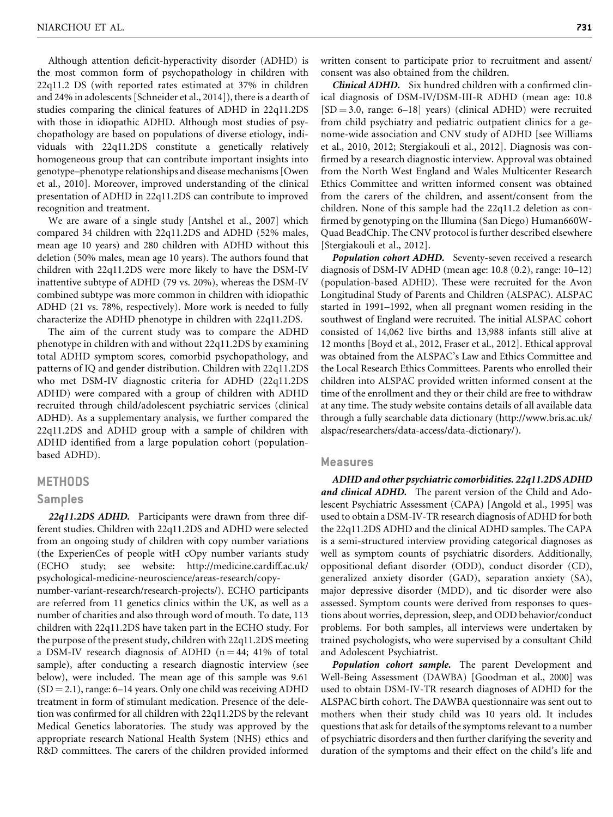Although attention deficit-hyperactivity disorder (ADHD) is the most common form of psychopathology in children with 22q11.2 DS (with reported rates estimated at 37% in children and 24% in adolescents [Schneider et al., 2014]), there is a dearth of studies comparing the clinical features of ADHD in 22q11.2DS with those in idiopathic ADHD. Although most studies of psychopathology are based on populations of diverse etiology, individuals with 22q11.2DS constitute a genetically relatively homogeneous group that can contribute important insights into genotype–phenotype relationships and disease mechanisms [Owen et al., 2010]. Moreover, improved understanding of the clinical presentation of ADHD in 22q11.2DS can contribute to improved recognition and treatment.

We are aware of a single study [Antshel et al., 2007] which compared 34 children with 22q11.2DS and ADHD (52% males, mean age 10 years) and 280 children with ADHD without this deletion (50% males, mean age 10 years). The authors found that children with 22q11.2DS were more likely to have the DSM-IV inattentive subtype of ADHD (79 vs. 20%), whereas the DSM-IV combined subtype was more common in children with idiopathic ADHD (21 vs. 78%, respectively). More work is needed to fully characterize the ADHD phenotype in children with 22q11.2DS.

The aim of the current study was to compare the ADHD phenotype in children with and without 22q11.2DS by examining total ADHD symptom scores, comorbid psychopathology, and patterns of IQ and gender distribution. Children with 22q11.2DS who met DSM-IV diagnostic criteria for ADHD (22q11.2DS ADHD) were compared with a group of children with ADHD recruited through child/adolescent psychiatric services (clinical ADHD). As a supplementary analysis, we further compared the 22q11.2DS and ADHD group with a sample of children with ADHD identified from a large population cohort (populationbased ADHD).

#### **METHODS**

### Samples

22q11.2DS ADHD. Participants were drawn from three different studies. Children with 22q11.2DS and ADHD were selected from an ongoing study of children with copy number variations (the ExperienCes of people witH cOpy number variants study (ECHO study; see website: [http://medicine.cardiff.ac.uk/](http://medicine.cardiff.ac.uk/psychological-medicine-neuroscience/areas-research/copy-number-variant-research/research-projects/) [psychological-medicine-neuroscience/areas-research/copy](http://medicine.cardiff.ac.uk/psychological-medicine-neuroscience/areas-research/copy-number-variant-research/research-projects/)[number-variant-research/research-projects/\)](http://medicine.cardiff.ac.uk/psychological-medicine-neuroscience/areas-research/copy-number-variant-research/research-projects/). ECHO participants are referred from 11 genetics clinics within the UK, as well as a number of charities and also through word of mouth. To date, 113 children with 22q11.2DS have taken part in the ECHO study. For the purpose of the present study, children with 22q11.2DS meeting a DSM-IV research diagnosis of ADHD ( $n = 44$ ; 41% of total sample), after conducting a research diagnostic interview (see below), were included. The mean age of this sample was 9.61  $(SD = 2.1)$ , range: 6–14 years. Only one child was receiving ADHD treatment in form of stimulant medication. Presence of the deletion was confirmed for all children with 22q11.2DS by the relevant Medical Genetics laboratories. The study was approved by the appropriate research National Health System (NHS) ethics and R&D committees. The carers of the children provided informed

written consent to participate prior to recruitment and assent/ consent was also obtained from the children.

Clinical ADHD. Six hundred children with a confirmed clinical diagnosis of DSM-IV/DSM-III-R ADHD (mean age: 10.8  $[SD = 3.0, range: 6–18]$  years) (clinical ADHD) were recruited from child psychiatry and pediatric outpatient clinics for a genome-wide association and CNV study of ADHD [see Williams et al., 2010, 2012; Stergiakouli et al., 2012]. Diagnosis was confirmed by a research diagnostic interview. Approval was obtained from the North West England and Wales Multicenter Research Ethics Committee and written informed consent was obtained from the carers of the children, and assent/consent from the children. None of this sample had the 22q11.2 deletion as confirmed by genotyping on the Illumina (San Diego) Human660W-Quad BeadChip. The CNV protocol is further described elsewhere [Stergiakouli et al., 2012].

Population cohort ADHD. Seventy-seven received a research diagnosis of DSM-IV ADHD (mean age: 10.8 (0.2), range: 10–12) (population-based ADHD). These were recruited for the Avon Longitudinal Study of Parents and Children (ALSPAC). ALSPAC started in 1991–1992, when all pregnant women residing in the southwest of England were recruited. The initial ALSPAC cohort consisted of 14,062 live births and 13,988 infants still alive at 12 months [Boyd et al., 2012, Fraser et al., 2012]. Ethical approval was obtained from the ALSPAC's Law and Ethics Committee and the Local Research Ethics Committees. Parents who enrolled their children into ALSPAC provided written informed consent at the time of the enrollment and they or their child are free to withdraw at any time. The study website contains details of all available data through a fully searchable data dictionary ([http://www.bris.ac.uk/](http://www.bris.ac.uk/alspac/researchers/data-access/data-dictionary/) [alspac/researchers/data-access/data-dictionary/\)](http://www.bris.ac.uk/alspac/researchers/data-access/data-dictionary/).

#### Measures

ADHD and other psychiatric comorbidities. 22q11.2DS ADHD and clinical ADHD. The parent version of the Child and Adolescent Psychiatric Assessment (CAPA) [Angold et al., 1995] was used to obtain a DSM-IV-TR research diagnosis of ADHD for both the 22q11.2DS ADHD and the clinical ADHD samples. The CAPA is a semi-structured interview providing categorical diagnoses as well as symptom counts of psychiatric disorders. Additionally, oppositional defiant disorder (ODD), conduct disorder (CD), generalized anxiety disorder (GAD), separation anxiety (SA), major depressive disorder (MDD), and tic disorder were also assessed. Symptom counts were derived from responses to questions about worries, depression, sleep, and ODD behavior/conduct problems. For both samples, all interviews were undertaken by trained psychologists, who were supervised by a consultant Child and Adolescent Psychiatrist.

Population cohort sample. The parent Development and Well-Being Assessment (DAWBA) [Goodman et al., 2000] was used to obtain DSM-IV-TR research diagnoses of ADHD for the ALSPAC birth cohort. The DAWBA questionnaire was sent out to mothers when their study child was 10 years old. It includes questions that ask for details of the symptoms relevant to a number of psychiatric disorders and then further clarifying the severity and duration of the symptoms and their effect on the child's life and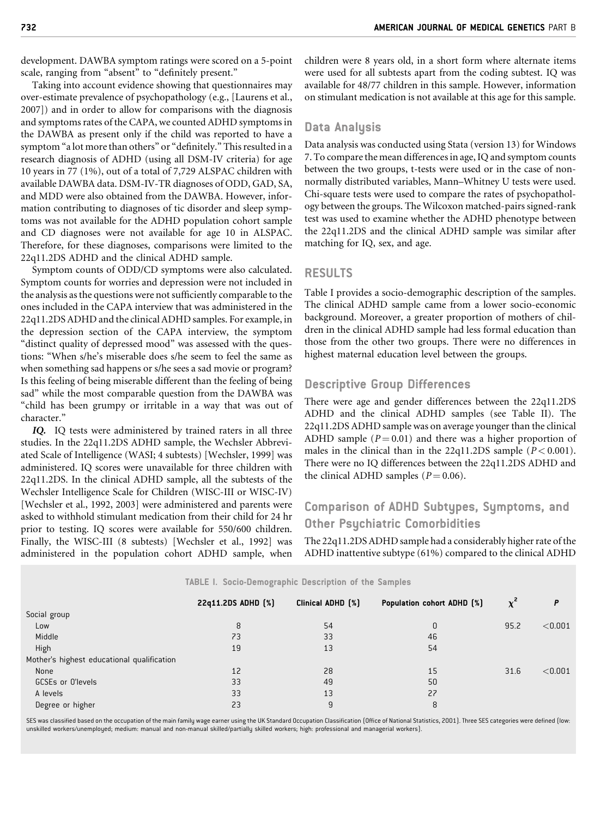development. DAWBA symptom ratings were scored on a 5-point scale, ranging from "absent" to "definitely present."

Taking into account evidence showing that questionnaires may over-estimate prevalence of psychopathology (e.g., [Laurens et al., 2007]) and in order to allow for comparisons with the diagnosis and symptoms rates of the CAPA, we counted ADHD symptoms in the DAWBA as present only if the child was reported to have a symptom "a lot more than others" or "definitely." This resulted in a research diagnosis of ADHD (using all DSM-IV criteria) for age 10 years in 77 (1%), out of a total of 7,729 ALSPAC children with available DAWBA data. DSM-IV-TR diagnoses of ODD, GAD, SA, and MDD were also obtained from the DAWBA. However, information contributing to diagnoses of tic disorder and sleep symptoms was not available for the ADHD population cohort sample and CD diagnoses were not available for age 10 in ALSPAC. Therefore, for these diagnoses, comparisons were limited to the 22q11.2DS ADHD and the clinical ADHD sample.

Symptom counts of ODD/CD symptoms were also calculated. Symptom counts for worries and depression were not included in the analysis as the questions were not sufficiently comparable to the ones included in the CAPA interview that was administered in the 22q11.2DS ADHD and the clinical ADHD samples. For example, in the depression section of the CAPA interview, the symptom "distinct quality of depressed mood" was assessed with the questions: "When s/he's miserable does s/he seem to feel the same as when something sad happens or s/he sees a sad movie or program? Is this feeling of being miserable different than the feeling of being sad" while the most comparable question from the DAWBA was "child has been grumpy or irritable in a way that was out of character."

IQ. IQ tests were administered by trained raters in all three studies. In the 22q11.2DS ADHD sample, the Wechsler Abbreviated Scale of Intelligence (WASI; 4 subtests) [Wechsler, 1999] was administered. IQ scores were unavailable for three children with 22q11.2DS. In the clinical ADHD sample, all the subtests of the Wechsler Intelligence Scale for Children (WISC-III or WISC-IV) [Wechsler et al., 1992, 2003] were administered and parents were asked to withhold stimulant medication from their child for 24 hr prior to testing. IQ scores were available for 550/600 children. Finally, the WISC-III (8 subtests) [Wechsler et al., 1992] was administered in the population cohort ADHD sample, when

children were 8 years old, in a short form where alternate items were used for all subtests apart from the coding subtest. IQ was available for 48/77 children in this sample. However, information on stimulant medication is not available at this age for this sample.

## Data Analysis

Data analysis was conducted using Stata (version 13) for Windows 7. To compare the mean differences in age, IQ and symptom counts between the two groups, t-tests were used or in the case of nonnormally distributed variables, Mann–Whitney U tests were used. Chi-square tests were used to compare the rates of psychopathology between the groups. The Wilcoxon matched-pairs signed-rank test was used to examine whether the ADHD phenotype between the 22q11.2DS and the clinical ADHD sample was similar after matching for IQ, sex, and age.

## RESULTS

Table I provides a socio-demographic description of the samples. The clinical ADHD sample came from a lower socio-economic background. Moreover, a greater proportion of mothers of children in the clinical ADHD sample had less formal education than those from the other two groups. There were no differences in highest maternal education level between the groups.

## Descriptive Group Differences

There were age and gender differences between the 22q11.2DS ADHD and the clinical ADHD samples (see Table II). The 22q11.2DS ADHD sample was on average younger than the clinical ADHD sample ( $P = 0.01$ ) and there was a higher proportion of males in the clinical than in the 22q11.2DS sample  $(P < 0.001)$ . There were no IQ differences between the 22q11.2DS ADHD and the clinical ADHD samples ( $P = 0.06$ ).

## Comparison of ADHD Subtypes, Symptoms, and Other Psychiatric Comorbidities

The 22q11.2DS ADHD sample had a considerably higher rate of the ADHD inattentive subtype (61%) compared to the clinical ADHD

|                                            | $\sim$             |                   |                            |          |         |
|--------------------------------------------|--------------------|-------------------|----------------------------|----------|---------|
|                                            | 22q11.2DS ADHD [%] | Clinical ADHD [%] | Population cohort ADHD [%] | $\chi^2$ | P       |
| Social group                               |                    |                   |                            |          |         |
| Low                                        | 8                  | 54                | 0                          | 95.2     | < 0.001 |
| Middle                                     | 73                 | 33                | 46                         |          |         |
| High                                       | 19                 | 13                | 54                         |          |         |
| Mother's highest educational qualification |                    |                   |                            |          |         |
| None                                       | 12                 | 28                | 15                         | 31.6     | < 0.001 |
| GCSEs or O'levels                          | 33                 | 49                | 50                         |          |         |
| A levels                                   | 33                 | 13                | 27                         |          |         |
| Degree or higher                           | 23                 | 9                 | 8                          |          |         |
|                                            |                    |                   |                            |          |         |

TABLE I. Socio-Demographic Description of the Samples

SES was classified based on the occupation of the main family wage earner using the UK Standard Occupation Classification (Office of National Statistics, 2001). Three SES categories were defined (low: unskilled workers/unemployed; medium: manual and non-manual skilled/partially skilled workers; high: professional and managerial workers).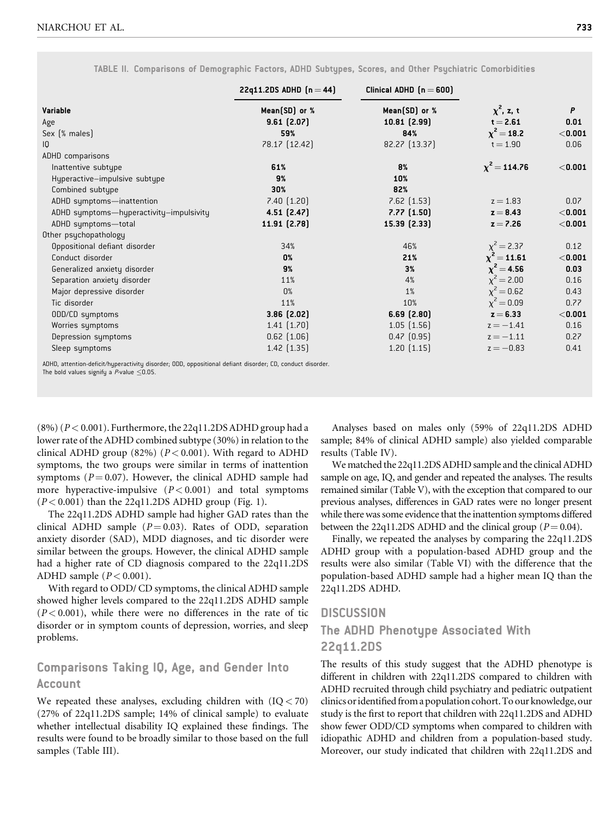|                                         | 22q11.2DS ADHD $(n = 44)$ | Clinical ADHD $[n = 600]$ |                   |           |
|-----------------------------------------|---------------------------|---------------------------|-------------------|-----------|
| Variable                                | Mean(SD) or %             | Mean(SD) or %             | $\chi^2$ , z, t   | P         |
| Age                                     | 9.61(2.07)                | 10.81(2.99)               | $t = 2.61$        | 0.01      |
| Sex (% males)                           | 59%                       | 84%                       | $\chi^2 = 18.2$   | < 0.001   |
| IQ                                      | 78.17 [12.42]             | 82.27 (13.37)             | $t = 1.90$        | 0.06      |
| <b>ADHD</b> comparisons                 |                           |                           |                   |           |
| Inattentive subtupe                     | 61%                       | 8%                        | $\chi^2$ = 114.76 | $<$ 0.001 |
| Hyperactive-impulsive subtype           | 9%                        | 10%                       |                   |           |
| Combined subtupe                        | 30%                       | 82%                       |                   |           |
| ADHD symptoms-inattention               | 7.40(1.20)                | $7.62$ $(1.53)$           | $z = 1.83$        | 0.07      |
| ADHD symptoms-hyperactivity-impulsivity | $4.51$ $(2.47)$           | $7.77$ $(1.50)$           | $z = 8.43$        | $<$ 0.001 |
| ADHD symptoms-total                     | 11.91 [2.78]              | 15.39 [2.33]              | $z = 7.26$        | $<$ 0.001 |
| Other psychopathology                   |                           |                           |                   |           |
| Oppositional defiant disorder           | 34%                       | 46%                       | $\chi^2 = 2.37$   | 0.12      |
| Conduct disorder                        | 0%                        | 21%                       | $\chi^2$ = 11.61  | < 0.001   |
| Generalized anxiety disorder            | 9%                        | 3%                        | $\chi^2 = 4.56$   | 0.03      |
| Separation anxiety disorder             | 11%                       | 4%                        | $\chi^2$ = 2.00   | 0.16      |
| Major depressive disorder               | 0%                        | 1%                        | $\chi^2 = 0.62$   | 0.43      |
| Tic disorder                            | 11%                       | 10%                       | $\chi^2 = 0.09$   | 0.77      |
| ODD/CD symptoms                         | $3.86$ $(2.02)$           | 6.69(2.80)                | $z = 6.33$        | < 0.001   |
| Worries symptoms                        | $1.41$ $(1.70)$           | 1.05(1.56)                | $z = -1.41$       | 0.16      |
| Depression sumptoms                     | $0.62$ $(1.06)$           | $0.47$ $(0.95)$           | $z = -1.11$       | 0.27      |
| Sleep symptoms                          | $1.42$ $(1.35)$           | $1.20$ $(1.15)$           | $z = -0.83$       | 0.41      |

TABLE II. Comparisons of Demographic Factors, ADHD Subtypes, Scores, and Other Psychiatric Comorbidities

ADHD, attention-deficit/hyperactivity disorder; ODD, oppositional defiant disorder; CD, conduct disorder.

The bold values signify a  $P$ -value  $\leq$ 0.05.

 $(8\%) (P < 0.001)$ . Furthermore, the 22q11.2DS ADHD group had a lower rate of the ADHD combined subtype (30%) in relation to the clinical ADHD group (82%) ( $P < 0.001$ ). With regard to ADHD symptoms, the two groups were similar in terms of inattention symptoms ( $P = 0.07$ ). However, the clinical ADHD sample had more hyperactive-impulsive  $(P < 0.001)$  and total symptoms  $(P< 0.001)$  than the 22q11.2DS ADHD group (Fig. 1).

The 22q11.2DS ADHD sample had higher GAD rates than the clinical ADHD sample  $(P = 0.03)$ . Rates of ODD, separation anxiety disorder (SAD), MDD diagnoses, and tic disorder were similar between the groups. However, the clinical ADHD sample had a higher rate of CD diagnosis compared to the 22q11.2DS ADHD sample  $(P < 0.001)$ .

With regard to ODD/ CD symptoms, the clinical ADHD sample showed higher levels compared to the 22q11.2DS ADHD sample  $(P<0.001)$ , while there were no differences in the rate of tic disorder or in symptom counts of depression, worries, and sleep problems.

## Comparisons Taking IQ, Age, and Gender Into Account

We repeated these analyses, excluding children with  $(IQ < 70)$ (27% of 22q11.2DS sample; 14% of clinical sample) to evaluate whether intellectual disability IQ explained these findings. The results were found to be broadly similar to those based on the full samples (Table III).

Analyses based on males only (59% of 22q11.2DS ADHD sample; 84% of clinical ADHD sample) also yielded comparable results (Table IV).

We matched the 22q11.2DS ADHD sample and the clinical ADHD sample on age, IQ, and gender and repeated the analyses. The results remained similar (Table V), with the exception that compared to our previous analyses, differences in GAD rates were no longer present while there was some evidence that the inattention symptoms differed between the 22q11.2DS ADHD and the clinical group ( $P = 0.04$ ).

Finally, we repeated the analyses by comparing the 22q11.2DS ADHD group with a population-based ADHD group and the results were also similar (Table VI) with the difference that the population-based ADHD sample had a higher mean IQ than the 22q11.2DS ADHD.

## **DISCUSSION**

## The ADHD Phenotype Associated With

## 22q11.2DS

The results of this study suggest that the ADHD phenotype is different in children with 22q11.2DS compared to children with ADHD recruited through child psychiatry and pediatric outpatient clinics oridentifiedfrom a population cohort.To our knowledge, our study is the first to report that children with 22q11.2DS and ADHD show fewer ODD/CD symptoms when compared to children with idiopathic ADHD and children from a population-based study. Moreover, our study indicated that children with 22q11.2DS and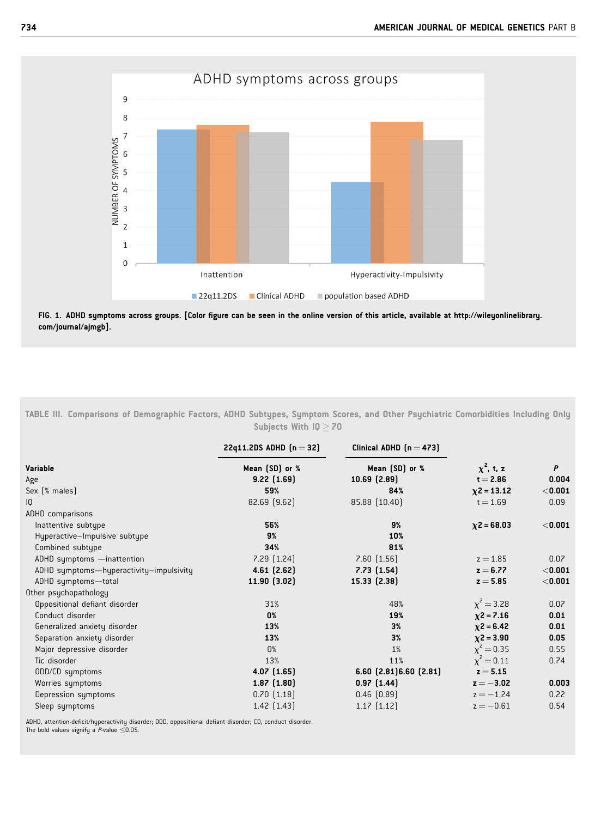

FIG. 1. ADHD symptoms across groups. [Color figure can be seen in the online version of this article, available at [http://wileyonlinelibrary.](http://wileyonlinelibrary.com/journal/ajmgb) [com/journal/ajmgb](http://wileyonlinelibrary.com/journal/ajmgb)].

TABLE III. Comparisons of Demographic Factors, ADHD Subtypes, Symptom Scores, and Other Psychiatric Comorbidities Including Only Subjects With  $IQ \geq 70$ 

|                                         | 22q11.2DS ADHD $[n = 32]$ | Clinical ADHD $[n = 473]$    |                 |           |
|-----------------------------------------|---------------------------|------------------------------|-----------------|-----------|
| <b>Variable</b>                         | Mean [SD] or %            | Mean (SD) or %               | $\chi^2$ , t, z | P         |
| Age                                     | $9.22$ $(1.69)$           | $10.69$ $(2.89)$             | $t = 2.86$      | 0.004     |
| Sex (% males)                           | 59%                       | 84%                          | $x^2 = 13.12$   | $<$ 0.001 |
| 10                                      | 82.69 [9.62]              | 85.88 (10.40)                | $t = 1.69$      | 0.09      |
| <b>ADHD</b> comparisons                 |                           |                              |                 |           |
| Inattentive subtupe                     | 56%                       | 9%                           | $x^2 = 68.03$   | < 0.001   |
| Hyperactive-Impulsive subtype           | 9%                        | 10%                          |                 |           |
| Combined subtupe                        | 34%                       | 81%                          |                 |           |
| ADHD symptoms -inattention              | $7.29$ $(1.24)$           | $7.60$ $(1.56)$              | $z = 1.85$      | 0.07      |
| ADHD symptoms-hyperactivity-impulsivity | $4.61$ $(2.62)$           | $7.73$ $(1.54)$              | $z = 6.77$      | < 0.001   |
| ADHD symptoms-total                     | 11.90(3.02)               | 15.33 [2.38]                 | $z = 5.85$      | $<$ 0.001 |
| Other psychopathology                   |                           |                              |                 |           |
| Oppositional defiant disorder           | 31%                       | 48%                          | $\chi^2 = 3.28$ | 0.07      |
| Conduct disorder                        | 0%                        | 19%                          | $x^2 = 7.16$    | 0.01      |
| Generalized anxiety disorder            | 13%                       | 3%                           | $x^2 = 6.42$    | 0.01      |
| Separation anxiety disorder             | 13%                       | 3%                           | $x^2 = 3.90$    | 0.05      |
| Major depressive disorder               | 0%                        | $1\%$                        | $\chi^2 = 0.35$ | 0.55      |
| Tic disorder                            | 13%                       | 11%                          | $\chi^2 = 0.11$ | 0.74      |
| ODD/CD symptoms                         | 4.07(1.65)                | $6.60$ $(2.81)6.60$ $(2.81)$ | $z = 5.15$      |           |
| Worries symptoms                        | $1.87$ $(1.80)$           | $0.97$ $(1.44)$              | $z = -3.02$     | 0.003     |
| Depression symptoms                     | $0.70$ $(1.18)$           | $0.46$ $(0.89)$              | $z = -1.24$     | 0.22      |
| Sleep symptoms                          | $1.42$ $(1.43)$           | $1.17$ $(1.12)$              | $z = -0.61$     | 0.54      |
|                                         |                           |                              |                 |           |

ADHD, attention-deficit/hyperactivity disorder; ODD, oppositional defiant disorder; CD, conduct disorder. The bold values signify a  $P$ -value  $\leq$ 0.05.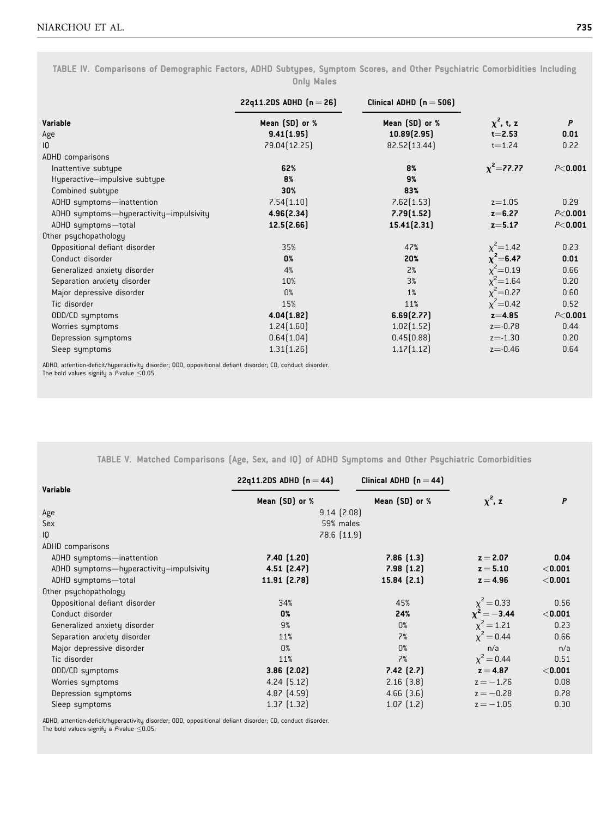TABLE IV. Comparisons of Demographic Factors, ADHD Subtypes, Symptom Scores, and Other Psychiatric Comorbidities Including Only Males

|                                         | 22q11.2DS ADHD $[n = 26]$ | Clinical ADHD $(n = 506)$ |                 |              |
|-----------------------------------------|---------------------------|---------------------------|-----------------|--------------|
| <b>Variable</b>                         | Mean (SD) or %            | Mean (SD) or %            | $\chi^2$ , t, z | $\mathsf{P}$ |
| Age                                     | 9.41(1.95)                | 10.89(2.95)               | $t = 2.53$      | 0.01         |
| 10                                      | 79.04 [12.25]             | 82.52 [13.44]             | $t = 1.24$      | 0.22         |
| ADHD comparisons                        |                           |                           |                 |              |
| Inattentive subtupe                     | 62%                       | 8%                        | $x^2 = 77.77$   | $P<$ 0.001   |
| Hyperactive-impulsive subtype           | 8%                        | 9%                        |                 |              |
| Combined subtype                        | 30%                       | 83%                       |                 |              |
| ADHD symptoms-inattention               | 7.54(1.10)                | 7.62[1.53]                | $z = 1.05$      | 0.29         |
| ADHD symptoms-hyperactivity-impulsivity | 4.96(2.34)                | 7.79(1.52)                | $z = 6.27$      | $P<$ 0.001   |
| ADHD symptoms-total                     | 12.5(2.66)                | 15.41(2.31)               | $z = 5.17$      | $P<$ 0.001   |
| Other psychopathology                   |                           |                           |                 |              |
| Oppositional defiant disorder           | 35%                       | 47%                       | $x^2$ = 1.42    | 0.23         |
| Conduct disorder                        | 0%                        | 20%                       | $x^2 = 6.47$    | 0.01         |
| Generalized anxiety disorder            | 4%                        | 2%                        | $\chi^2$ =0.19  | 0.66         |
| Separation anxiety disorder             | 10%                       | 3%                        | $\chi^2$ = 1.64 | 0.20         |
| Major depressive disorder               | 0%                        | 1%                        | $x^2 = 0.27$    | 0.60         |
| Tic disorder                            | 15%                       | 11%                       | $x^2 = 0.42$    | 0.52         |
| ODD/CD symptoms                         | 4.04(1.82)                | 6.69(2.77)                | $z = 4.85$      | $P<$ 0.001   |
| Worries symptoms                        | 1.24(1.60)                | 1.02[1.52]                | $z = -0.78$     | 0.44         |
| Depression symptoms                     | 0.64(1.04)                | 0.45[0.88]                | $z = -1.30$     | 0.20         |
| Sleep symptoms                          | 1.31(1.26)                | 1.17[1.12]                | $z = -0.46$     | 0.64         |

ADHD, attention-deficit/hyperactivity disorder; ODD, oppositional defiant disorder; CD, conduct disorder.<br>The bold values signify a *P*-value ≤0.05.

TABLE V. Matched Comparisons (Age, Sex, and IQ) of ADHD Symptoms and Other Psychiatric Comorbidities

| Variable                                | 22q11.2DS ADHD $(n = 44)$ | Clinical ADHD $(n=44)$ |                 |           |
|-----------------------------------------|---------------------------|------------------------|-----------------|-----------|
|                                         | Mean (SD) or %            | Mean (SD) or %         | $\chi^2$ , z    | P         |
| Age                                     | $9.14$ $(2.08)$           |                        |                 |           |
| Sex                                     | 59% males                 |                        |                 |           |
| IQ                                      | 78.6 [11.9]               |                        |                 |           |
| <b>ADHD</b> comparisons                 |                           |                        |                 |           |
| ADHD symptoms-inattention               | 7.40(1.20)                | 7.86(1.3)              | $z = 2.07$      | 0.04      |
| ADHD symptoms-hyperactivity-impulsivity | $4.51$ $(2.47)$           | 7.98(1.2)              | $z = 5.10$      | $<$ 0.001 |
| ADHD symptoms-total                     | 11.91 [2.78]              | 15.84(2.1)             | $z = 4.96$      | $<$ 0.001 |
| Other psychopathology                   |                           |                        |                 |           |
| Oppositional defiant disorder           | 34%                       | 45%                    | $\chi^2 = 0.33$ | 0.56      |
| Conduct disorder                        | 0%                        | 24%                    | $x^2 = -3.44$   | $<$ 0.001 |
| Generalized anxiety disorder            | 9%                        | 0%                     | $\chi^2 = 1.21$ | 0.23      |
| Separation anxiety disorder             | 11%                       | 7%                     | $\chi^2 = 0.44$ | 0.66      |
| Major depressive disorder               | 0%                        | 0%                     | n/a             | n/a       |
| Tic disorder                            | 11%                       | 7%                     | $\chi^2 = 0.44$ | 0.51      |
| ODD/CD symptoms                         | $3.86$ $(2.02)$           | $7.42$ $(2.7)$         | $z = 4.87$      | $<$ 0.001 |
| Worries symptoms                        | $4.24$ $(5.12)$           | 2.16(3.8)              | $z = -1.76$     | 0.08      |
| Depression symptoms                     | $4.87$ $(4.59)$           | $4.66$ $(3.6)$         | $z = -0.28$     | 0.78      |
| Sleep symptoms                          | $1.37$ $(1.32)$           | $1.07$ $(1.2)$         | $z = -1.05$     | 0.30      |

ADHD, attention-deficit/hyperactivity disorder; ODD, oppositional defiant disorder; CD, conduct disorder. The bold values signify a  $P$ -value  $\leq$ 0.05.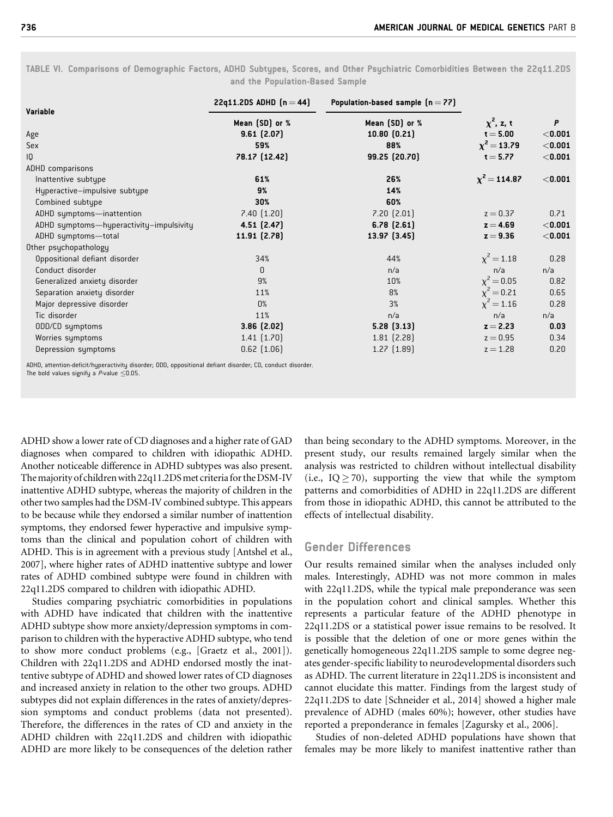| Variable                                | 22q11.2DS ADHD $[n = 44]$ | Population-based sample $(n = 77)$ |                   |           |
|-----------------------------------------|---------------------------|------------------------------------|-------------------|-----------|
|                                         | Mean (SD) or %            | Mean (SD) or %                     | $\chi^2$ , z, t   | P         |
| Age                                     | 9.61(2.07)                | $10.80$ $(0.21)$                   | $t = 5.00$        | $<$ 0.001 |
| Sex                                     | 59%                       | 88%                                | $\chi^2 = 13.79$  | $<$ 0.001 |
| IQ                                      | 78.17 (12.42)             | 99.25 (20.70)                      | $t = 5.77$        | $<$ 0.001 |
| <b>ADHD</b> comparisons                 |                           |                                    |                   |           |
| Inattentive subtype                     | 61%                       | 26%                                | $\chi^2$ = 114.87 | $<$ 0.001 |
| Hyperactive-impulsive subtype           | 9%                        | 14%                                |                   |           |
| Combined subtype                        | 30%                       | 60%                                |                   |           |
| ADHD symptoms-inattention               | $7.40$ $(1.20)$           | $7.20$ $(2.01)$                    | $z = 0.37$        | 0.71      |
| ADHD symptoms-hyperactivity-impulsivity | 4.51(2.47)                | $6.78$ $(2.61)$                    | $z = 4.69$        | $<$ 0.001 |
| ADHD symptoms-total                     | 11.91 [2.78]              | 13.97(3.45)                        | $z = 9.36$        | $<$ 0.001 |
| Other psychopathology                   |                           |                                    |                   |           |
| Oppositional defiant disorder           | 34%                       | 44%                                | $\chi^2 = 1.18$   | 0.28      |
| Conduct disorder                        | $\mathbf{0}$              | n/a                                | n/a               | n/a       |
| Generalized anxiety disorder            | 9%                        | 10%                                | $\chi^2 = 0.05$   | 0.82      |
| Separation anxiety disorder             | 11%                       | 8%                                 | $\chi^2 = 0.21$   | 0.65      |
| Major depressive disorder               | 0%                        | 3%                                 | $\chi^2 = 1.16$   | 0.28      |
| Tic disorder                            | 11%                       | n/a                                | n/a               | n/a       |
| ODD/CD symptoms                         | $3.86$ $(2.02)$           | 5.28(3.13)                         | $z = 2.23$        | 0.03      |
| Worries symptoms                        | $1.41$ $(1.70)$           | $1.81$ $(2.28)$                    | $z = 0.95$        | 0.34      |
| Depression sumptoms                     | $0.62$ $(1.06)$           | $1.27$ $(1.89)$                    | $z = 1.28$        | 0.20      |
| .                                       |                           |                                    |                   |           |

TABLE VI. Comparisons of Demographic Factors, ADHD Subtypes, Scores, and Other Psychiatric Comorbidities Between the 22q11.2DS and the Population-Based Sample

ADHD, attention-deficit/hyperactivity disorder; ODD, oppositional defiant disorder; CD, conduct disorder. The bold values signify a  $P$ -value  $\leq$ 0.05.

ADHD show a lower rate of CD diagnoses and a higher rate of GAD diagnoses when compared to children with idiopathic ADHD. Another noticeable difference in ADHD subtypes was also present. The majority of children with 22q11.2DS met criteria for the DSM-IV inattentive ADHD subtype, whereas the majority of children in the other two samples had the DSM-IV combined subtype. This appears to be because while they endorsed a similar number of inattention symptoms, they endorsed fewer hyperactive and impulsive symptoms than the clinical and population cohort of children with ADHD. This is in agreement with a previous study [Antshel et al., 2007], where higher rates of ADHD inattentive subtype and lower rates of ADHD combined subtype were found in children with 22q11.2DS compared to children with idiopathic ADHD.

Studies comparing psychiatric comorbidities in populations with ADHD have indicated that children with the inattentive ADHD subtype show more anxiety/depression symptoms in comparison to children with the hyperactive ADHD subtype, who tend to show more conduct problems (e.g., [Graetz et al., 2001]). Children with 22q11.2DS and ADHD endorsed mostly the inattentive subtype of ADHD and showed lower rates of CD diagnoses and increased anxiety in relation to the other two groups. ADHD subtypes did not explain differences in the rates of anxiety/depression symptoms and conduct problems (data not presented). Therefore, the differences in the rates of CD and anxiety in the ADHD children with 22q11.2DS and children with idiopathic ADHD are more likely to be consequences of the deletion rather than being secondary to the ADHD symptoms. Moreover, in the present study, our results remained largely similar when the analysis was restricted to children without intellectual disability (i.e.,  $IQ \ge 70$ ), supporting the view that while the symptom patterns and comorbidities of ADHD in 22q11.2DS are different from those in idiopathic ADHD, this cannot be attributed to the effects of intellectual disability.

### Gender Differences

Our results remained similar when the analyses included only males. Interestingly, ADHD was not more common in males with 22q11.2DS, while the typical male preponderance was seen in the population cohort and clinical samples. Whether this represents a particular feature of the ADHD phenotype in 22q11.2DS or a statistical power issue remains to be resolved. It is possible that the deletion of one or more genes within the genetically homogeneous 22q11.2DS sample to some degree negates gender-specific liability to neurodevelopmental disorders such as ADHD. The current literature in 22q11.2DS is inconsistent and cannot elucidate this matter. Findings from the largest study of 22q11.2DS to date [Schneider et al., 2014] showed a higher male prevalence of ADHD (males 60%); however, other studies have reported a preponderance in females [Zagursky et al., 2006].

Studies of non-deleted ADHD populations have shown that females may be more likely to manifest inattentive rather than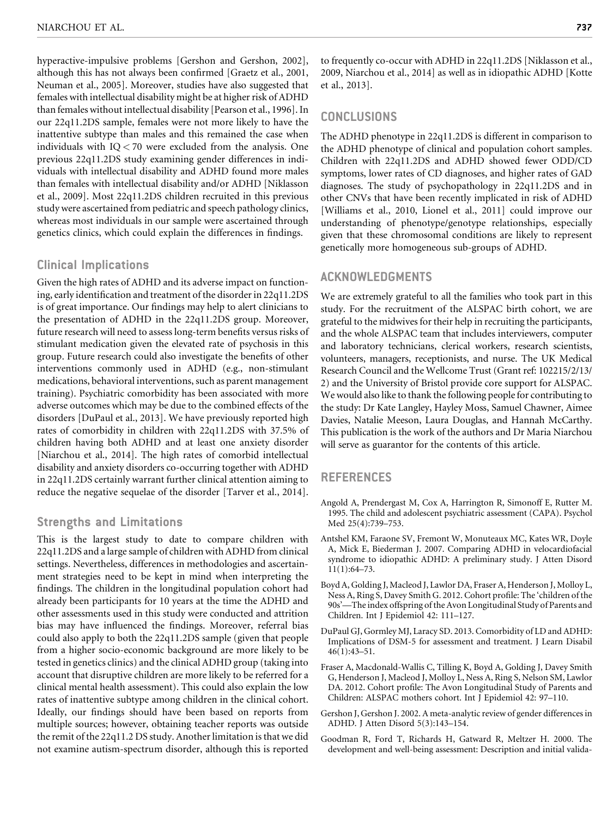hyperactive-impulsive problems [Gershon and Gershon, 2002], although this has not always been confirmed [Graetz et al., 2001, Neuman et al., 2005]. Moreover, studies have also suggested that females with intellectual disability might be at higher risk of ADHD than females without intellectual disability [Pearson et al., 1996]. In our 22q11.2DS sample, females were not more likely to have the inattentive subtype than males and this remained the case when individuals with IQ < 70 were excluded from the analysis. One previous 22q11.2DS study examining gender differences in individuals with intellectual disability and ADHD found more males than females with intellectual disability and/or ADHD [Niklasson et al., 2009]. Most 22q11.2DS children recruited in this previous study were ascertained from pediatric and speech pathology clinics, whereas most individuals in our sample were ascertained through genetics clinics, which could explain the differences in findings.

## Clinical Implications

Given the high rates of ADHD and its adverse impact on functioning, early identification and treatment of the disorder in 22q11.2DS is of great importance. Our findings may help to alert clinicians to the presentation of ADHD in the 22q11.2DS group. Moreover, future research will need to assess long-term benefits versus risks of stimulant medication given the elevated rate of psychosis in this group. Future research could also investigate the benefits of other interventions commonly used in ADHD (e.g., non-stimulant medications, behavioral interventions, such as parent management training). Psychiatric comorbidity has been associated with more adverse outcomes which may be due to the combined effects of the disorders [DuPaul et al., 2013]. We have previously reported high rates of comorbidity in children with 22q11.2DS with 37.5% of children having both ADHD and at least one anxiety disorder [Niarchou et al., 2014]. The high rates of comorbid intellectual disability and anxiety disorders co-occurring together with ADHD in 22q11.2DS certainly warrant further clinical attention aiming to reduce the negative sequelae of the disorder [Tarver et al., 2014].

## Strengths and Limitations

This is the largest study to date to compare children with 22q11.2DS and a large sample of children with ADHD from clinical settings. Nevertheless, differences in methodologies and ascertainment strategies need to be kept in mind when interpreting the findings. The children in the longitudinal population cohort had already been participants for 10 years at the time the ADHD and other assessments used in this study were conducted and attrition bias may have influenced the findings. Moreover, referral bias could also apply to both the 22q11.2DS sample (given that people from a higher socio-economic background are more likely to be tested in genetics clinics) and the clinical ADHD group (taking into account that disruptive children are more likely to be referred for a clinical mental health assessment). This could also explain the low rates of inattentive subtype among children in the clinical cohort. Ideally, our findings should have been based on reports from multiple sources; however, obtaining teacher reports was outside the remit of the 22q11.2 DS study. Another limitation is that we did not examine autism-spectrum disorder, although this is reported

to frequently co-occur with ADHD in 22q11.2DS [Niklasson et al., 2009, Niarchou et al., 2014] as well as in idiopathic ADHD [Kotte et al., 2013].

## CONCLUSIONS

The ADHD phenotype in 22q11.2DS is different in comparison to the ADHD phenotype of clinical and population cohort samples. Children with 22q11.2DS and ADHD showed fewer ODD/CD symptoms, lower rates of CD diagnoses, and higher rates of GAD diagnoses. The study of psychopathology in 22q11.2DS and in other CNVs that have been recently implicated in risk of ADHD [Williams et al., 2010, Lionel et al., 2011] could improve our understanding of phenotype/genotype relationships, especially given that these chromosomal conditions are likely to represent genetically more homogeneous sub-groups of ADHD.

## ACKNOWLEDGMENTS

We are extremely grateful to all the families who took part in this study. For the recruitment of the ALSPAC birth cohort, we are grateful to the midwives for their help in recruiting the participants, and the whole ALSPAC team that includes interviewers, computer and laboratory technicians, clerical workers, research scientists, volunteers, managers, receptionists, and nurse. The UK Medical Research Council and the Wellcome Trust (Grant ref: 102215/2/13/ 2) and the University of Bristol provide core support for ALSPAC. We would also like to thank the following people for contributing to the study: Dr Kate Langley, Hayley Moss, Samuel Chawner, Aimee Davies, Natalie Meeson, Laura Douglas, and Hannah McCarthy. This publication is the work of the authors and Dr Maria Niarchou will serve as guarantor for the contents of this article.

## REFERENCES

- Angold A, Prendergast M, Cox A, Harrington R, Simonoff E, Rutter M. 1995. The child and adolescent psychiatric assessment (CAPA). Psychol Med 25(4):739–753.
- Antshel KM, Faraone SV, Fremont W, Monuteaux MC, Kates WR, Doyle A, Mick E, Biederman J. 2007. Comparing ADHD in velocardiofacial syndrome to idiopathic ADHD: A preliminary study. J Atten Disord 11(1):64–73.
- Boyd A, Golding J, Macleod J, Lawlor DA, Fraser A, Henderson J, Molloy L, Ness A, Ring S, Davey Smith G. 2012. Cohort profile: The 'children of the 90s'—The index offspring of the Avon Longitudinal Study of Parents and Children. Int J Epidemiol 42: 111–127.
- DuPaul GJ, Gormley MJ, Laracy SD. 2013. Comorbidity of LD and ADHD: Implications of DSM-5 for assessment and treatment. J Learn Disabil 46(1):43–51.
- Fraser A, Macdonald-Wallis C, Tilling K, Boyd A, Golding J, Davey Smith G, Henderson J, Macleod J, Molloy L, Ness A, Ring S, Nelson SM, Lawlor DA. 2012. Cohort profile: The Avon Longitudinal Study of Parents and Children: ALSPAC mothers cohort. Int J Epidemiol 42: 97–110.
- Gershon J, Gershon J. 2002. A meta-analytic review of gender differences in ADHD. J Atten Disord 5(3):143–154.
- Goodman R, Ford T, Richards H, Gatward R, Meltzer H. 2000. The development and well-being assessment: Description and initial valida-